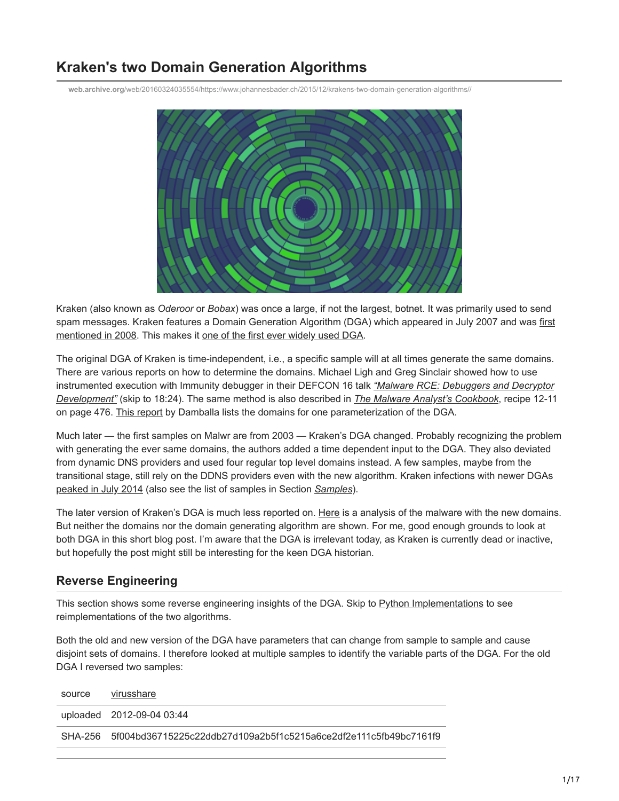# **Kraken's two Domain Generation Algorithms**

**web.archive.org**[/web/20160324035554/https://www.johannesbader.ch/2015/12/krakens-two-domain-generation-algorithms//](https://web.archive.org/web/20160324035554/https://www.johannesbader.ch/2015/12/krakens-two-domain-generation-algorithms//)



Kraken (also known as *Oderoor* or *Bobax*) was once a large, if not the largest, botnet. It was primarily used to send [spam messages. Kraken features a Domain Generation Algorithm \(DGA\) which appeared in July 2007 and was first](https://web.archive.org/web/20160324035554/https://www.damballa.com/downloads/r_pubs/KrakenWhitepaper.pdf) mentioned in 2008. This makes it [one of the first ever widely used DGA](https://web.archive.org/web/20160324035554/https://www.botconf.eu/wp-content/uploads/2015/12/OK-P06-Plohmann-DGArchive.pdf).

The original DGA of Kraken is time-independent, i.e., a specific sample will at all times generate the same domains. There are various reports on how to determine the domains. Michael Ligh and Greg Sinclair showed how to use [instrumented execution with Immunity debugger in their DEFCON 16 talk](https://web.archive.org/web/20160324035554/https://www.youtube.com/watch?v=OZzu4JLPoUs) *"Malware RCE: Debuggers and Decryptor Development"* (skip to 18:24). The same method is also described in *[The Malware Analyst's Cookbook](https://web.archive.org/web/20160324035554/http://www.amazon.com/Malware-Analysts-Cookbook-DVD-Techniques/dp/0470613033/)*, recipe 12-11 on page 476. [This report](https://web.archive.org/web/20160324035554/https://www.damballa.com/downloads/r_pubs/KrakenWhitepaper.pdf) by Damballa lists the domains for one parameterization of the DGA.

Much later — the first samples on Malwr are from 2003 — Kraken's DGA changed. Probably recognizing the problem with generating the ever same domains, the authors added a time dependent input to the DGA. They also deviated from dynamic DNS providers and used four regular top level domains instead. A few samples, maybe from the transitional stage, still rely on the DDNS providers even with the new algorithm. Kraken infections with newer DGAs [peaked in July 2014](https://web.archive.org/web/20160324035554/http://www.virusradar.com/en/Win32_Oderoor/detail) (also see the list of samples in Section *Samples*).

The later version of Kraken's DGA is much less reported on. [Here](https://web.archive.org/web/20160324035554/http://www.trendmicro.com/vinfo/us/threat-encyclopedia/malware/bkdr_oderoor.ogj) is a analysis of the malware with the new domains. But neither the domains nor the domain generating algorithm are shown. For me, good enough grounds to look at both DGA in this short blog post. I'm aware that the DGA is irrelevant today, as Kraken is currently dead or inactive, but hopefully the post might still be interesting for the keen DGA historian.

## **Reverse Engineering**

This section shows some reverse engineering insights of the DGA. Skip to Python Implementations to see reimplementations of the two algorithms.

Both the old and new version of the DGA have parameters that can change from sample to sample and cause disjoint sets of domains. I therefore looked at multiple samples to identify the variable parts of the DGA. For the old DGA I reversed two samples:

| source | virusshare                                                               |
|--------|--------------------------------------------------------------------------|
|        | uploaded 2012-09-04 03:44                                                |
|        | SHA-256 5f004bd36715225c22ddb27d109a2b5f1c5215a6ce2df2e111c5fb49bc7161f9 |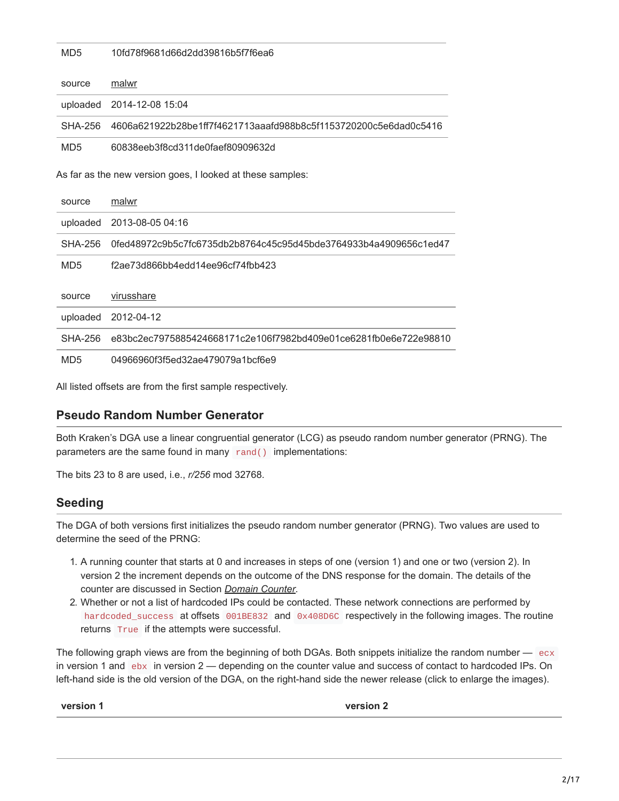MD5 10fd78f9681d66d2dd39816b5f7f6ea6

| source                      | malwr                                                            |
|-----------------------------|------------------------------------------------------------------|
| uploaded                    | 2014-12-08 15:04                                                 |
| SHA-256                     | 4606a621922b28be1ff7f4621713aaafd988b8c5f1153720200c5e6dad0c5416 |
| M <sub>D</sub> <sub>5</sub> | 60838eeb3f8cd311de0faef80909632d                                 |
|                             | As far as the new version goes, I looked at these samples:       |
| source                      | malwr                                                            |
| uploaded                    | 2013-08-05 04:16                                                 |
| <b>SHA-256</b>              | 0fed48972c9b5c7fc6735db2b8764c45c95d45bde3764933b4a4909656c1ed47 |
| M <sub>D</sub> <sub>5</sub> | f2ae73d866bb4edd14ee96cf74fbb423                                 |
| source                      | virusshare                                                       |
| uploaded                    | 2012-04-12                                                       |
| <b>SHA-256</b>              | e83bc2ec7975885424668171c2e106f7982bd409e01ce6281fb0e6e722e98810 |
| MD <sub>5</sub>             | 04966960f3f5ed32ae479079a1bcf6e9                                 |

All listed offsets are from the first sample respectively.

#### **Pseudo Random Number Generator**

Both Kraken's DGA use a linear congruential generator (LCG) as pseudo random number generator (PRNG). The parameters are the same found in many rand() implementations:

The bits 23 to 8 are used, i.e., *r/256* mod 32768.

#### **Seeding**

The DGA of both versions first initializes the pseudo random number generator (PRNG). Two values are used to determine the seed of the PRNG:

- 1. A running counter that starts at 0 and increases in steps of one (version 1) and one or two (version 2). In version 2 the increment depends on the outcome of the DNS response for the domain. The details of the counter are discussed in Section *Domain Counter*.
- 2. Whether or not a list of hardcoded IPs could be contacted. These network connections are performed by hardcoded\_success at offsets 001BE832 and 0x408D6C respectively in the following images. The routine returns True if the attempts were successful.

The following graph views are from the beginning of both DGAs. Both snippets initialize the random number — ecx in version 1 and  $e$ bx in version  $2$  — depending on the counter value and success of contact to hardcoded IPs. On left-hand side is the old version of the DGA, on the right-hand side the newer release (click to enlarge the images).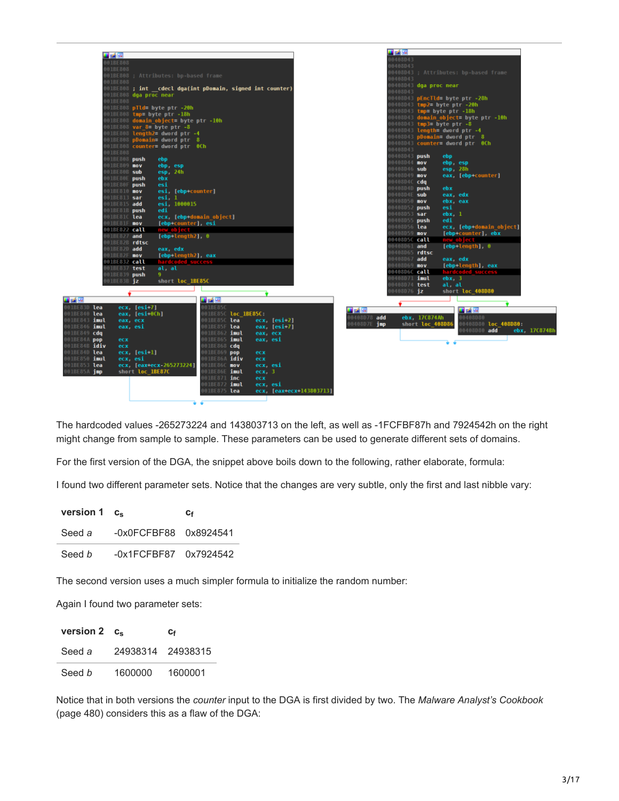|                                         |     |                    |                                             |                                                                      |                              |                      |          |                          |                     | 重函理                                |                  |                        |                                        |               |
|-----------------------------------------|-----|--------------------|---------------------------------------------|----------------------------------------------------------------------|------------------------------|----------------------|----------|--------------------------|---------------------|------------------------------------|------------------|------------------------|----------------------------------------|---------------|
|                                         | 理論解 |                    |                                             |                                                                      |                              |                      |          |                          |                     | 00408D43                           |                  |                        |                                        |               |
|                                         |     | 001BE808           |                                             |                                                                      |                              |                      |          |                          |                     | 00408D43                           |                  |                        |                                        |               |
|                                         |     | 001BE808           |                                             |                                                                      |                              |                      |          |                          |                     |                                    |                  |                        | 00408D43 ; Attributes: bp-based frame  |               |
|                                         |     |                    |                                             | 001BE808 ; Attributes: bp-based frame                                |                              |                      |          |                          |                     | 00408D43                           |                  |                        |                                        |               |
|                                         |     | 001BE808           |                                             |                                                                      |                              |                      |          |                          |                     | 00408D43 <b>dga proc near</b>      |                  |                        |                                        |               |
|                                         |     |                    |                                             | 001BE808 ; int cdecl dga(int pDomain, signed int counter)            |                              |                      |          |                          |                     | 0408043                            |                  |                        |                                        |               |
|                                         |     |                    | 001BE808 dga proc near                      |                                                                      |                              |                      |          |                          |                     |                                    |                  |                        | 00408D43 pEncTld= byte ptr -28h        |               |
|                                         |     | 001BE808           |                                             |                                                                      |                              |                      |          |                          |                     | 00408D43 tmp2= byte ptr -20h       |                  |                        |                                        |               |
|                                         |     |                    |                                             | 001BE808 pTld= byte ptr -20h                                         |                              |                      |          |                          |                     | 00408D43 <b>tmp= byte ptr -18h</b> |                  |                        |                                        |               |
|                                         |     |                    |                                             | 001BE808 tmp= byte ptr -18h<br>001BE808 domain object= byte ptr -10h |                              |                      |          |                          |                     |                                    |                  |                        | 00408D43 domain_object= byte ptr -10h  |               |
|                                         |     |                    |                                             | 001BE808 var 8= byte ptr -8                                          |                              |                      |          |                          |                     | 00408D43 tmp3= byte ptr -8         |                  |                        |                                        |               |
|                                         |     |                    |                                             | 001BE808 length2= dword ptr -4                                       |                              |                      |          |                          |                     |                                    |                  |                        | 00408D43 length= dword ptr -4          |               |
|                                         |     |                    |                                             |                                                                      |                              |                      |          |                          |                     |                                    |                  |                        |                                        |               |
|                                         |     |                    |                                             | 001BE808 counter= dword ptr 0Ch                                      |                              |                      |          |                          |                     |                                    |                  |                        | 00408D43 counter= dword ptr 0Ch        |               |
|                                         |     | 001BE808           |                                             |                                                                      |                              |                      |          |                          |                     | 00408D43                           |                  |                        |                                        |               |
|                                         |     | 001BE808 push      |                                             | ebp                                                                  |                              |                      |          |                          |                     | 00408D43 push                      |                  | ebp                    |                                        |               |
|                                         |     | 001BE809 mov       |                                             | ebp, esp                                                             |                              |                      |          |                          |                     | 00408D44 mov                       |                  | ebp, esp               |                                        |               |
|                                         |     | 001BE80B sub       |                                             | esp. 24h                                                             |                              |                      |          |                          |                     | 00408D46 sub                       |                  | $\mathsf{esp}$ , $28h$ |                                        |               |
|                                         |     | 001BE80E push      |                                             | ebx                                                                  |                              |                      |          |                          |                     | 00408D49 mov                       |                  |                        | eax, [ebp+counter]                     |               |
|                                         |     | 001BE80F push      |                                             | esi                                                                  |                              |                      |          |                          |                     | 00408D4C cda<br>00408D4D push      |                  |                        |                                        |               |
|                                         |     | 001BE810 mov       |                                             | esi, [ebp+counter]                                                   |                              |                      |          |                          |                     | 00408D4E sub                       |                  | ebx<br>eax. edx        |                                        |               |
|                                         |     | 001BE813 sar       |                                             | esi.1                                                                |                              |                      |          |                          |                     | 00408D50 mov                       |                  | ebx. eax               |                                        |               |
|                                         |     | 001BE815 add       |                                             | esi, 1000015                                                         |                              |                      |          |                          |                     | 00408D52 push                      |                  | esi                    |                                        |               |
|                                         |     | 001BE81B push      |                                             | edi                                                                  |                              |                      |          |                          |                     | 00408D53 sar                       |                  | $e$ bx, $1$            |                                        |               |
|                                         |     | 001BE81C lea       |                                             | ecx, [ebp+domain object]                                             |                              |                      |          |                          |                     | 00408D55 push                      |                  | edi                    |                                        |               |
|                                         |     | 001BE81F mov       |                                             | [ebp+counter], esi                                                   |                              |                      |          |                          |                     | 00408D56 lea                       |                  |                        | ecx, [ebp-domain_object]               |               |
|                                         |     | 001BE822 call      |                                             | new object<br>[ebp+length2], $\theta$                                |                              |                      |          |                          |                     | 00408D59 mov                       |                  |                        | [ebp+counter], ebx                     |               |
|                                         |     | 001BE827 and       | 001BE82B rdtsc                              |                                                                      |                              |                      |          |                          |                     | 00408D5C call                      |                  |                        | new object                             |               |
|                                         |     | 001BE82D add       |                                             | eax, edx                                                             |                              |                      |          |                          |                     | 00408D61 and                       |                  |                        | $[ebp+length]$ , $\theta$              |               |
|                                         |     | 001BE82F mov       |                                             |                                                                      |                              |                      |          |                          |                     | 00408D65 rdtsc                     |                  |                        |                                        |               |
|                                         |     | 001BE832 call      |                                             | [ebp+length2], eax<br>hardcoded_success                              |                              |                      |          |                          |                     | 00408D67 add                       |                  | eax, edx               |                                        |               |
|                                         |     | 001BE837 test      |                                             | al, al                                                               |                              |                      |          |                          |                     | 00408D69 mov                       |                  |                        | [ebp+length], eax<br>hardcoded_success |               |
|                                         |     | 001BE839 push      |                                             | 9.                                                                   |                              |                      |          |                          |                     | 00408D6C call                      |                  |                        |                                        |               |
|                                         |     | 001BE83B <b>jz</b> |                                             | short loc_1BE85C                                                     |                              |                      |          |                          |                     | 00408D71 imul                      |                  | $e$ bx. $3$            |                                        |               |
|                                         |     |                    |                                             |                                                                      |                              |                      |          |                          |                     | 00408D74 test                      |                  | al. al                 |                                        |               |
|                                         |     |                    |                                             |                                                                      |                              |                      |          |                          |                     | 00408D76 <b>jz</b>                 |                  |                        | short loc_408D80                       |               |
| 西南                                      |     |                    |                                             |                                                                      | 耳路障                          |                      |          |                          |                     |                                    |                  |                        |                                        |               |
| 1BE83D lea                              |     |                    | $ex, [esi+7]$                               |                                                                      | 001BE85C                     |                      |          |                          | 理論區                 |                                    |                  |                        | 耳頭障                                    |               |
| 1BE840 <b>lea</b>                       |     |                    | $\mathsf{eax}.$ [ $\mathsf{esi+}\theta$ Ch] |                                                                      |                              | 001BE85C loc 1BE85C: |          |                          | 00408D78 add        |                                    | ebx, 17C874Ah    |                        | 08080406                               |               |
| 1BE843 imul                             |     |                    | eax, ecx                                    |                                                                      | 001BE85C lea                 |                      |          | exc, [esi:2]             | 00408D7E <b>imp</b> |                                    | short loc_408D86 |                        | 00408D80 loc 408D80:                   |               |
| 1BE846 imul                             |     | eax, esi           |                                             |                                                                      | 001BE85F lea                 |                      |          | eax, [esi+7]             |                     |                                    |                  |                        | 0408D80 add                            | ebx, 17C874Bh |
| 1BE849 cdq                              |     |                    |                                             |                                                                      | )01BE862 <b>imul</b>         |                      | eax, ecx |                          |                     |                                    |                  |                        |                                        |               |
| IBE84A pop                              |     | ecx                |                                             |                                                                      | 001BE865 <b>imul</b>         |                      | eax, esi |                          |                     |                                    |                  | ÷ ÷                    |                                        |               |
| 1BE84B <b>idiv</b><br>1BE84D <b>lea</b> |     | ecx                | $ecx$ , $ esi+1 $                           |                                                                      | 001BE868 cdq<br>001BE869 pop |                      | ecx      |                          |                     |                                    |                  |                        |                                        |               |
| 1BE850 <b>imul</b>                      |     | ecx. esi           |                                             |                                                                      | 001BE86A <b>idiv</b>         |                      | ecx      |                          |                     |                                    |                  |                        |                                        |               |
| 1BE853 lea                              |     |                    |                                             | ecx. [eax+ecx-265273224]                                             | 001BE86C mov                 |                      | ecx, esi |                          |                     |                                    |                  |                        |                                        |               |
| 1BE85A jmp                              |     |                    | short loc 1BE87C                            |                                                                      | MOIBE86E <b>imul</b>         |                      | ecx, 3   |                          |                     |                                    |                  |                        |                                        |               |
|                                         |     |                    |                                             |                                                                      | 001BE871 <b>inc</b>          |                      | ecx      |                          |                     |                                    |                  |                        |                                        |               |
|                                         |     |                    |                                             |                                                                      | 001BE872 <b>imul</b>         |                      | ecx, esi |                          |                     |                                    |                  |                        |                                        |               |
|                                         |     |                    |                                             |                                                                      | 001BE875 lea                 |                      |          | ecx, [eax+ecx+143803713] |                     |                                    |                  |                        |                                        |               |
|                                         |     |                    |                                             |                                                                      |                              |                      |          |                          |                     |                                    |                  |                        |                                        |               |
|                                         |     |                    |                                             |                                                                      |                              |                      |          |                          |                     |                                    |                  |                        |                                        |               |

The hardcoded values -265273224 and 143803713 on the left, as well as -1FCFBF87h and 7924542h on the right might change from sample to sample. These parameters can be used to generate different sets of domains.

For the first version of the DGA, the snippet above boils down to the following, rather elaborate, formula:

I found two different parameter sets. Notice that the changes are very subtle, only the first and last nibble vary:

| version $1 \, c_{s}$ |                            | Сғ |
|----------------------|----------------------------|----|
| Seed a               | $-0x0FCFFBFR8$ $0x8924541$ |    |
| Seed b               | $-0x1FCFBF87$ $0x7924542$  |    |

The second version uses a much simpler formula to initialize the random number:

Again I found two parameter sets:

| version $2 \, c_{\rm s}$ |                   | Сғ      |  |  |
|--------------------------|-------------------|---------|--|--|
| Seed a                   | 24938314 24938315 |         |  |  |
| Seed b                   | 1600000           | 1600001 |  |  |

Notice that in both versions the *counter* input to the DGA is first divided by two. The *Malware Analyst's Cookbook* (page 480) considers this as a flaw of the DGA: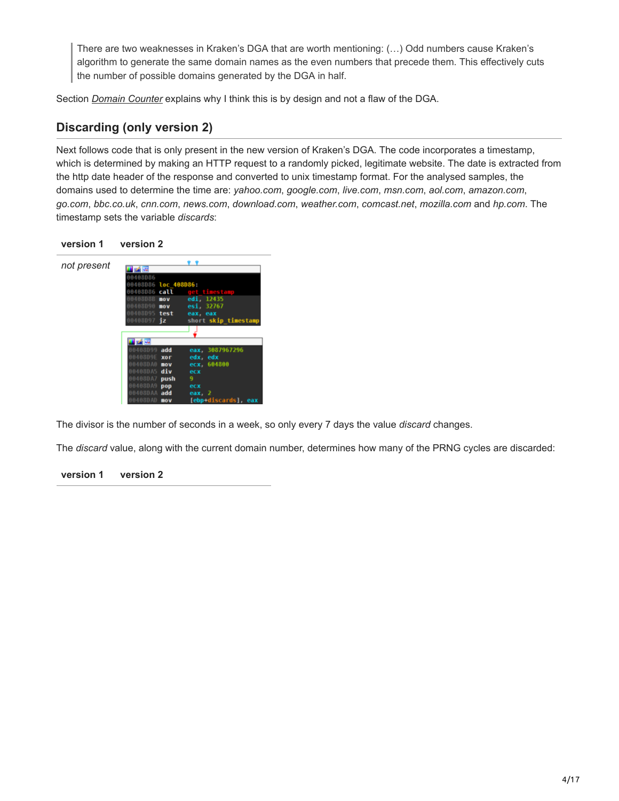There are two weaknesses in Kraken's DGA that are worth mentioning: (…) Odd numbers cause Kraken's algorithm to generate the same domain names as the even numbers that precede them. This effectively cuts the number of possible domains generated by the DGA in half.

Section *Domain Counter* explains why I think this is by design and not a flaw of the DGA.

## **Discarding (only version 2)**

Next follows code that is only present in the new version of Kraken's DGA. The code incorporates a timestamp, which is determined by making an HTTP request to a randomly picked, legitimate website. The date is extracted from the http date header of the response and converted to unix timestamp format. For the analysed samples, the domains used to determine the time are: *yahoo.com*, *google.com*, *live.com*, *msn.com*, *aol.com*, *amazon.com*, *go.com*, *bbc.co.uk*, *cnn.com*, *news.com*, *download.com*, *weather.com*, *comcast.net*, *mozilla.com* and *hp.com*. The timestamp sets the variable *discards*:

#### **version 1 version 2**



The divisor is the number of seconds in a week, so only every 7 days the value *discard* changes.

The *discard* value, along with the current domain number, determines how many of the PRNG cycles are discarded: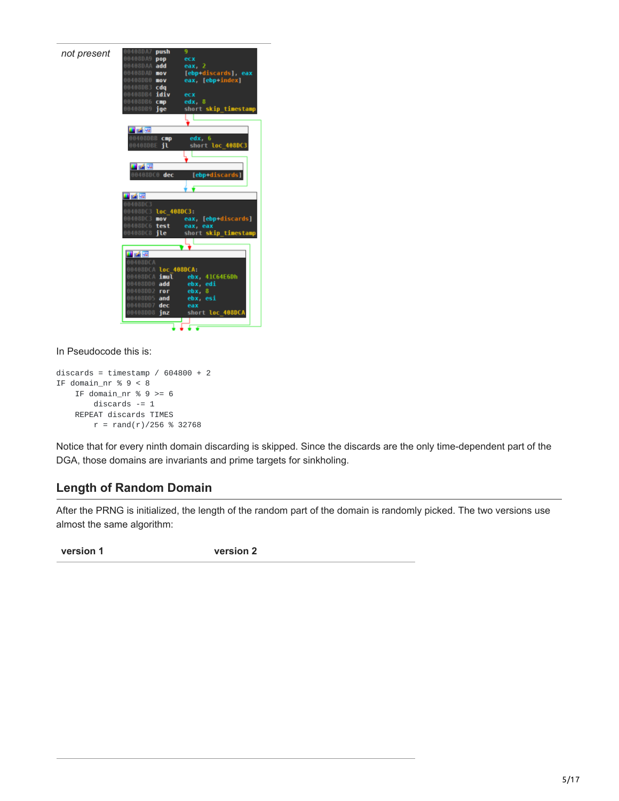

In Pseudocode this is:

```
discards = timestamp / 604800 + 2IF domain_nr % 9 < 8IF domain_nr % 9 \ge 6discards -= 1
    REPEAT discards TIMES
        r = \text{rand}(r)/256 % 32768
```
Notice that for every ninth domain discarding is skipped. Since the discards are the only time-dependent part of the DGA, those domains are invariants and prime targets for sinkholing.

## **Length of Random Domain**

After the PRNG is initialized, the length of the random part of the domain is randomly picked. The two versions use almost the same algorithm: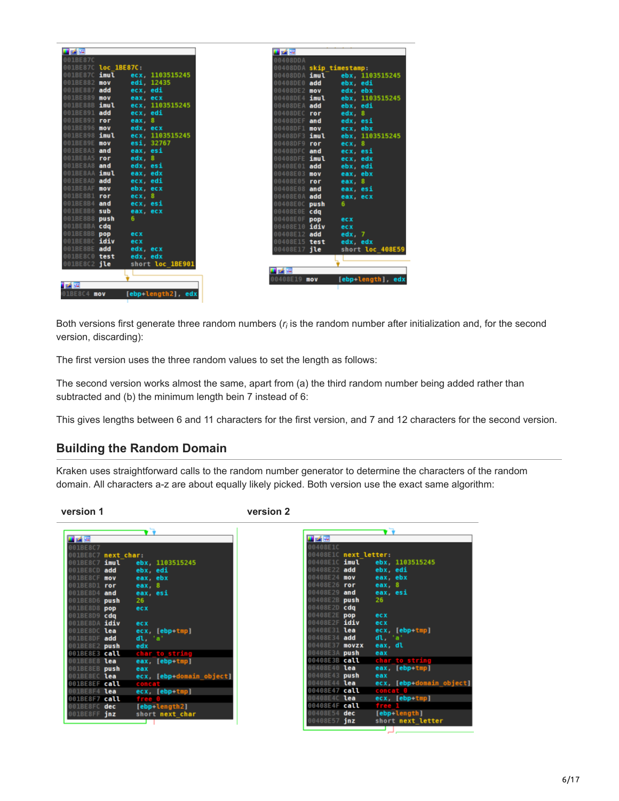| 耳番座<br>001BE87C               |                    | 耳式座                          |                          |
|-------------------------------|--------------------|------------------------------|--------------------------|
|                               |                    | 00408DDA                     |                          |
| 001BE87C loc 1BE87C:          |                    |                              | 00408DDA skip timestamp: |
| 001BE87C imul                 | ecx. 1103515245    | 00408DDA <b>imul</b>         | ebx. 1103515245          |
| 001BE882<br>mov               | edi, 12435         | 00408DE0 add                 | ebx. edi                 |
| 001BE887<br>add               | ecx, edi           | 00408DE2 mov                 | edx, ebx                 |
| 001BE889 mov                  | eax, ecx           | 00408DE4 <b>imul</b>         | ebx, 1103515245          |
| 001BE88B imul                 | ecx, 1103515245    | 00408DEA add                 | ebx. edi                 |
| 001BE891<br>add               | ecx, edi           | 00408DEC ror                 | edx.8                    |
| 001BE893 ror                  | eax. $8$           | 00408DEF and                 | edx, esi                 |
| 001BE896 mov                  | edx, ecx           | 00408DF1 mov                 | ecx. ebx                 |
| 001BE898 imul<br>001BE89E mov | ecx. 1103515245    | 00408DF3 <b>imul</b>         | ebx. 1103515245          |
| 001BE8A3 and                  | esi. 32767         | 00408DF9 ror                 | $exc$ , $8$              |
|                               | eax, esi           | 00408DFC                     | and<br>ecx. esi          |
| 001BE8A5 ror<br>OO1BE8A8 and  | edx, 8<br>edx, esi | 00408DFE <b>imul</b>         | ecx, edx                 |
| OO1BESAA imul                 | eax, edx           | 00408E01 add                 | ebx, edi                 |
| 001BE8AD add                  | ecx, edi           | 00408E03 mov                 | eax, ebx                 |
| 001BE8AF<br>mov               | ebx. ecx           | 00408E05 ror<br>00408E08 and | eax, $8$                 |
| 001BE8B1 ror                  | $exc$ , $8$        | 00408E0A add                 | eax, esi                 |
| 001BE8B4<br>and               | ecx esi            | 00408E0C push                | eax, ecx<br>6            |
| 001BE8B6 sub                  | eax, ecx           | 00408E0E cdg                 |                          |
| 001BE8B8 push                 | 6                  |                              | ecx                      |
| 001BE8BA cdq                  |                    | 00408E10 idiv                | ecx                      |
| 001BE8BB pop                  | ecx                | 00408E12 add                 | $edx$ . $7$              |
| 001BE8BC idiv                 | ecx                | 00408E15 test                | edx, edx                 |
| 001BE8BE add                  | edx ecx            | 00408E17 <b>ile</b>          | short loc 408E59         |
| 001BE8C0 test                 | edx, edx           |                              |                          |
| 001BE8C2 jle                  | short loc_1BE901   |                              |                          |
|                               |                    | 非动理                          |                          |
|                               |                    | 00408E19 mov                 | [ebp-length], edx        |
| 医舌腔                           |                    |                              |                          |
| 01BE8C4 mov                   | [ebp+length2], edx |                              |                          |
|                               |                    |                              |                          |

Both versions first generate three random numbers ( $r_i$  is the random number after initialization and, for the second version, discarding):

The first version uses the three random values to set the length as follows:

The second version works almost the same, apart from (a) the third random number being added rather than subtracted and (b) the minimum length bein 7 instead of 6:

This gives lengths between 6 and 11 characters for the first version, and 7 and 12 characters for the second version.

## **Building the Random Domain**

Kraken uses straightforward calls to the random number generator to determine the characters of the random domain. All characters a-z are about equally likely picked. Both version use the exact same algorithm:

|                                 | . .                                                                |
|---------------------------------|--------------------------------------------------------------------|
| 国語圖                             | 耳齿突                                                                |
| 001BE8C7                        | 00408E1C                                                           |
| 001BE8C7 next char:             | 00408E1C next letter:                                              |
| ebx 1103515245                  | 00408E1C <b>imul</b>                                               |
| 001BE8C7 imul                   | ebx 1103515245                                                     |
| 001BE8CD add                    | 00408E22 add                                                       |
| ebx, edi                        | ebx, edi                                                           |
| 001BE8CF mov                    | 00408E24 mov                                                       |
| eax, ebx                        | eax, ebx                                                           |
| 001BE8D1 ror                    | eax $, 8$                                                          |
| $eax$ , $8$                     | 00408E26 ror                                                       |
| 001BE8D4 and                    | 00408E29 and                                                       |
| eax, esi                        | eax, esi                                                           |
| 001BE8D6 push                   | 00408E2B push                                                      |
| 26                              | 26                                                                 |
| 001BE8D8 pop<br>ecx             | 00408E2D cdg                                                       |
| 001BE8D9 cdg                    | 00408E2E pop<br>ecx                                                |
| 001BE8DA idiv                   | 00408E2F idiv                                                      |
| ecx                             | ecx                                                                |
| 001BE8DC lea                    | 00408E31 lea                                                       |
| ecx, [ebp+tmp]                  | $exc$ , $[ebp+tmp]$                                                |
| 001BE8DF add                    | 00408E34 add                                                       |
| $d$ l, 'a'                      | dl, 'a'                                                            |
| 001BE8E2 push                   | 00408E37 movzx                                                     |
| edx                             | eax, dl                                                            |
| char to string                  | 00408E3A push                                                      |
| 001BE8E3 call                   | eax                                                                |
| 001BE8E8 lea                    | 00408E3B call                                                      |
| eax, [ebp+tmp]                  | char to string                                                     |
| 001BE8EB push                   | 00408E40 lea                                                       |
| eax                             | eax, [ebp+tmp]                                                     |
| 001BE8EC lea                    | 00408E43 push                                                      |
| ecx, [ebp+domain object]        | eax                                                                |
| 001BE8EF call                   | ecx, [ebp+domain object]                                           |
| concat                          | 00408E44 <b>lea</b>                                                |
| 001BE8F4 lea                    | 00408E47 call                                                      |
| $ecx, [ebp+tmp]$                | concat 0                                                           |
| 001BE8F7 call<br>free 0         | 00408E4C <b>lea</b><br>$exc, [ebp+tmp]$<br>free 1<br>00408E4F call |
| [ebp-length2]<br>001BE8FC dec   | 00408E54 dec                                                       |
| short next char<br>001BE8FF jnz | [ebp-length]<br>00408E57 jnz<br>short next letter                  |
|                                 |                                                                    |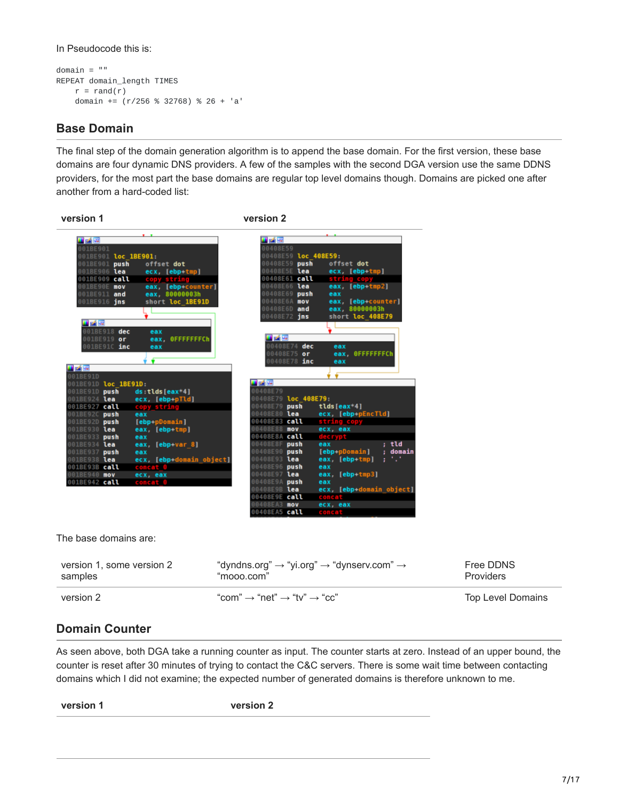In Pseudocode this is:

```
domain = ""
REPEAT domain_length TIMES
    r = \text{rand}(r)domain += (r/256 % 32768) % 26 + 'a'
```
## **Base Domain**

The final step of the domain generation algorithm is to append the base domain. For the first version, these base domains are four dynamic DNS providers. A few of the samples with the second DGA version use the same DDNS providers, for the most part the base domains are regular top level domains though. Domains are picked one after another from a hard-coded list:



version 2  $\text{``com''} \rightarrow \text{``net''} \rightarrow \text{``tv''} \rightarrow \text{``cc''}$  Top Level Domains

Free DDNS **Providers** 

## **Domain Counter**

As seen above, both DGA take a running counter as input. The counter starts at zero. Instead of an upper bound, the counter is reset after 30 minutes of trying to contact the C&C servers. There is some wait time between contacting domains which I did not examine; the expected number of generated domains is therefore unknown to me.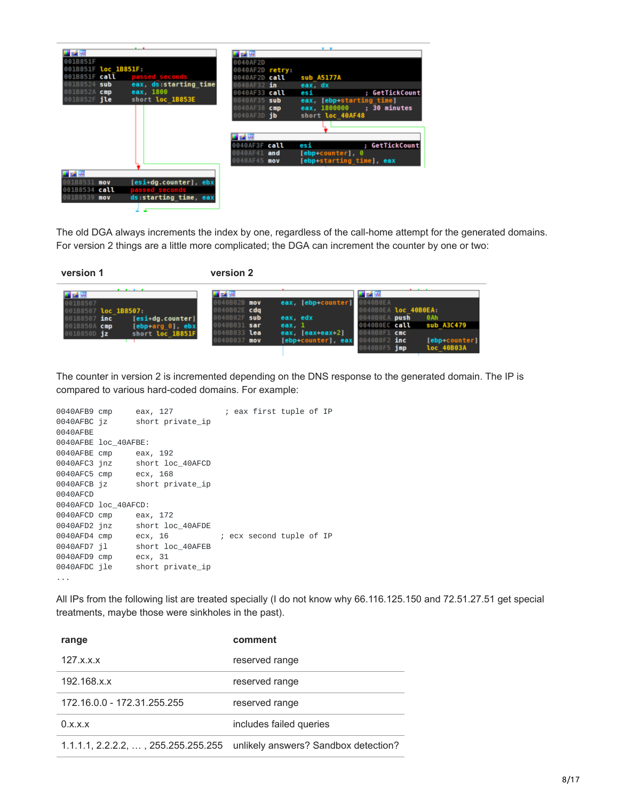| 耳内障                           |                                         |                      | . .                        |
|-------------------------------|-----------------------------------------|----------------------|----------------------------|
| 001B851F                      |                                         | 耳路座<br>0040AF2D      |                            |
| 001B851F loc 1B851F:          |                                         | 0040AF2D retry:      |                            |
| 001B851F call                 | passed seconds                          | 0040AF2D <b>call</b> | sub A5177A                 |
| 001B8524 sub                  | eax, ds:starting time                   |                      | eax, dx                    |
| 001B852A cmp                  | eax, 1800                               | 0040AF33 call        | : GetTickCount<br>esi      |
| 001B852F jle                  | short loc 1B853E                        | 0040AF35 sub         | eax, [ebp-starting time]   |
|                               |                                         | 0040AF38 cmp         | eax, 1800000 ; 30 minutes  |
|                               |                                         | 0040AF3D <b>ib</b>   | short loc 40AF48           |
|                               |                                         |                      |                            |
|                               |                                         |                      |                            |
|                               |                                         | l of lef             |                            |
|                               |                                         | 0040AF3F call        | ; GetTickCount<br>esi      |
|                               |                                         | 0040AF41 and         | $[ebp+counter]$ . $\theta$ |
|                               |                                         | 0040AF45 mov         | [ebp+starting time], eax   |
| 話回                            |                                         |                      |                            |
|                               |                                         |                      |                            |
| 001B8531 MOV                  | [esi-dq.counter], ebx                   |                      |                            |
| 001B8534 call<br>001B8539 mov | passed seconds<br>ds starting time, eax |                      |                            |
|                               |                                         |                      |                            |
|                               |                                         |                      |                            |

The old DGA always increments the index by one, regardless of the call-home attempt for the generated domains. For version 2 things are a little more complicated; the DGA can increment the counter by one or two:

**version 1 version 2**

|                                      |                            | 耳式障                          |          |                                              | 国话座                                          |                          |
|--------------------------------------|----------------------------|------------------------------|----------|----------------------------------------------|----------------------------------------------|--------------------------|
| 001B8507                             |                            | 0040B02B mov                 |          | eax, [ebp+counter] 0040B0EA                  |                                              |                          |
| 001B8507 loc 1B8507:<br>001B8507 inc | $[esi+dg.counter]$         | 0040B02E cdg<br>0040B02F sub | eax, edx |                                              | 0040B0EA loc 40B0EA:<br><b>AG4GBOEA</b> push | <b>OAh</b>               |
| 001B850A cmp                         | $[ebp+arg \theta]$ , $ebx$ | 0040B031 sar                 | eax. 1   |                                              |                                              | 0040B0EC call sub A3C479 |
| 001B850D jz                          | short loc 1B851F           | 0040B033 lea<br>0040B037 mov |          | eax, $ $ eax+eax+2 $ $<br>[ebp-counter], eax | AA40BOF1 cmc<br>$0040B0F2$ inc               | [ebp+counter]            |
|                                      |                            |                              |          |                                              | 0040B0F5 1mp                                 | loc 40B03A               |

The counter in version 2 is incremented depending on the DNS response to the generated domain. The IP is compared to various hard-coded domains. For example:

```
0040AFB9 cmp eax, 127 ; eax first tuple of IP
0040AFBC jz short private_ip
0040AFBE
0040AFBE loc_40AFBE:
0040AFBE cmp eax, 192
0040AFC3 jnz short loc_40AFCD<br>0040AFC5 cmp ecx, 168
0040AFC5 cmp
0040AFCB jz short private_ip
0040AFCD
0040AFCD loc_40AFCD:
0040AFCD cmp eax, 172
0040AFD2 jnz short loc_40AFDE
0040AFD4 cmp ecx, 16 ; ecx second tuple of IP
0040AFD7 jl short loc_40AFEB
0040AFD9 cmp ecx, 31<br>0040AFDC jle short pr
                short private_ip
...
```
All IPs from the following list are treated specially (I do not know why 66.116.125.150 and 72.51.27.51 get special treatments, maybe those were sinkholes in the past).

| range                                        | comment                              |
|----------------------------------------------|--------------------------------------|
| 127.x.x.x                                    | reserved range                       |
| 192.168.x.x                                  | reserved range                       |
| 172.16.0.0 - 172.31.255.255                  | reserved range                       |
| 0.x.x.x                                      | includes failed queries              |
| $1.1.1.1, 2.2.2.2, \ldots$ , 255.255.255.255 | unlikely answers? Sandbox detection? |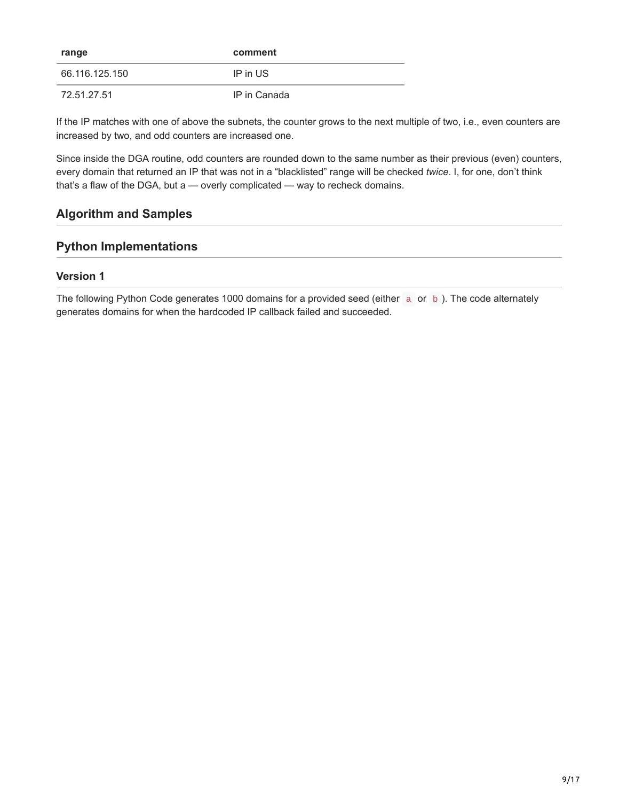| range          | comment      |
|----------------|--------------|
| 66.116.125.150 | IP in US     |
| 72.51.27.51    | IP in Canada |

If the IP matches with one of above the subnets, the counter grows to the next multiple of two, i.e., even counters are increased by two, and odd counters are increased one.

Since inside the DGA routine, odd counters are rounded down to the same number as their previous (even) counters, every domain that returned an IP that was not in a "blacklisted" range will be checked *twice*. I, for one, don't think that's a flaw of the DGA, but a — overly complicated — way to recheck domains.

## **Algorithm and Samples**

## **Python Implementations**

#### **Version 1**

The following Python Code generates 1000 domains for a provided seed (either a or b). The code alternately generates domains for when the hardcoded IP callback failed and succeeded.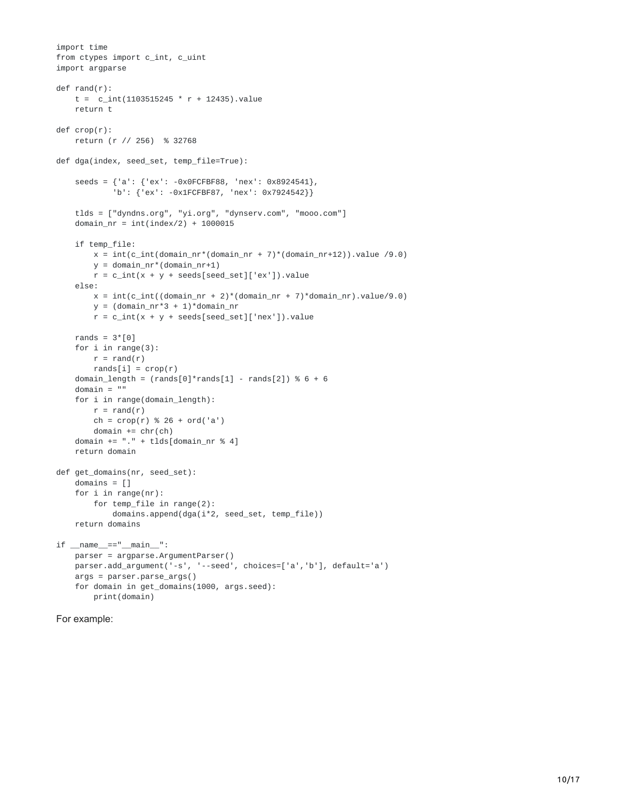```
import time
from ctypes import c_int, c_uint
import argparse
def rand(r):
    t = c_{int(1103515245 * r + 12435) \cdot valuereturn t
def crop(r):
   return (r // 256) % 32768
def dga(index, seed_set, temp_file=True):
    seeds = {'a': {'ex': -0x0FCFBF88, 'nex': 0x8924541},
            'b': {'ex': -0x1FCFBF87, 'nex': 0x7924542}}
    tlds = ["dyndns.org", "yi.org", "dynserv.com", "mooo.com"]
    domain_nr = int(index/2) + 1000015if temp_file:
       x = int(c_int(domain_nr*(domain_nr + 7)*(domain_nr+12)).value /9.0)y = domain_nr*(domain_nr+1)
        r = c_int(x + y + seeds[seed_set]['ex']).value
    else:
        x = int(c_int((domain_nr + 2)*(domain_nr + 7)*domain_nr) .value/9.0)y = (domain_nr*3 + 1)*domain_nrr = c\_int(x + y + seeds[seed_set]['nex']). value
   rands = 3*[0]for i in range(3):
        r = rand(r)rands[i] = \text{crop}(r)domain_length = (rands[0]^*rands[1] - rands[2]) % 6 + 6domain = ""
    for i in range(domain_length):
        r = rand(r)ch = crop(r) % 26 + ord('a')domain += chr(ch)
    domain += "." + tlds[domain nr % 4]
    return domain
def get_domains(nr, seed_set):
   domains = []
    for i in range(nr):
        for temp_file in range(2):
            domains.append(dga(i*2, seed_set, temp_file))
    return domains
if __name__ == "__main__":parser = argparse.ArgumentParser()
    parser.add_argument('-s', '--seed', choices=['a','b'], default='a')
    args = parser.parse_args()
    for domain in get_domains(1000, args.seed):
        print(domain)
```

```
For example:
```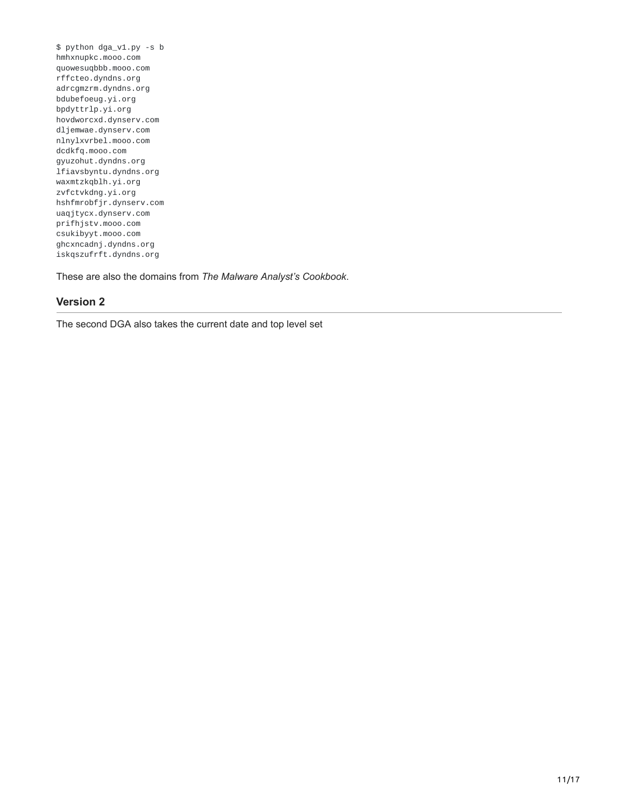\$ python dga\_v1.py -s b hmhxnupkc.mooo.com quowesuqbbb.mooo.com rffcteo.dyndns.org adrcgmzrm.dyndns.org bdubefoeug.yi.org bpdyttrlp.yi.org hovdworcxd.dynserv.com dljemwae.dynserv.com nlnylxvrbel.mooo.com dcdkfq.mooo.com gyuzohut.dyndns.org lfiavsbyntu.dyndns.org waxmtzkqblh.yi.org zvfctvkdng.yi.org hshfmrobfjr.dynserv.com uaqjtycx.dynserv.com prifhjstv.mooo.com csukibyyt.mooo.com ghcxncadnj.dyndns.org iskqszufrft.dyndns.org

These are also the domains from *The Malware Analyst's Cookbook*.

#### **Version 2**

The second DGA also takes the current date and top level set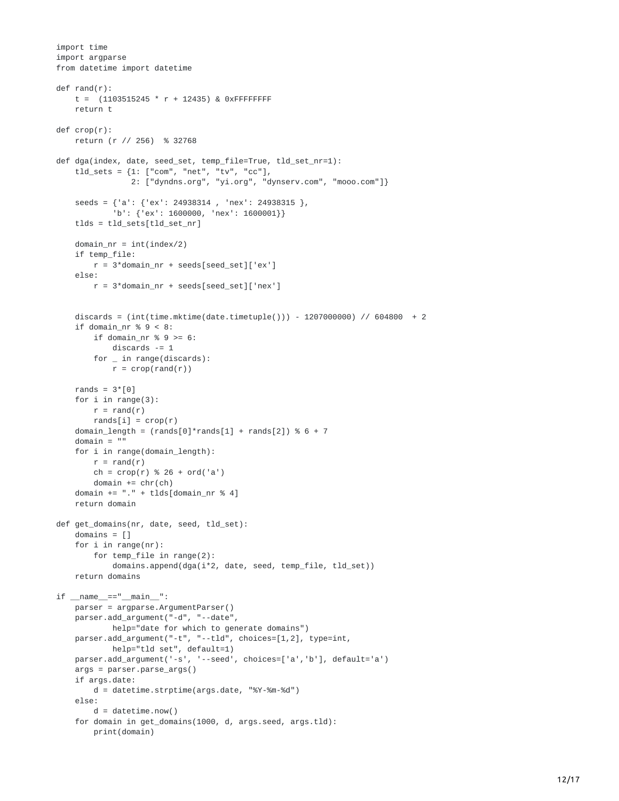```
import time
import argparse
from datetime import datetime
def rand(r):
    t = (1103515245 * r + 12435) & 0xFFFFFFFF
    return t
def crop(r):
   return (r // 256) % 32768
def dga(index, date, seed_set, temp_file=True, tld_set_nr=1):
    tld_sets = {1: ["com", "net", "tv", "cc"],
                2: ["dyndns.org", "yi.org", "dynserv.com", "mooo.com"]}
    seeds = {'a': {'ex': 24938314 , 'nex': 24938315 },
            'b': {'ex': 1600000, 'nex': 1600001}}
    tlds = tld_sets[tld_set_nr]
    domain_nr = int(index/2)
    if temp_file:
       r = 3*domain_nr + seeds[seed_set]['ex']
    else:
        r = 3*domain_nr + seeds[seed_set]['nex']
    discards = (inttime.mktime(data.timetuple()) - 1207000000) // 604800 + 2
    if domain_nr % 9 < 8:
       if domain_nr % 9 >= 6:
            discards -= 1
        for \_ in range(discards):
            r = \text{crop}(\text{rand}(r))rands = 3*[0]for i in range(3):
        r = rand(r)rands[i] = \text{crop}(r)domain_length = (rands[0]*rands[1] + rands[2]) % 6 + 7domain = ""
    for i in range(domain_length):
        r = rand(r)ch = crop(r) % 26 + ord('a')domain += chr(ch)
    domain += "." + tlds[domain_nr % 4]
    return domain
def get_domains(nr, date, seed, tld_set):
   domains = []
    for i in range(nr):
        for temp_file in range(2):
            domains.append(dga(i*2, date, seed, temp_file, tld_set))
    return domains
if __name__=="__main__":
   parser = argparse.ArgumentParser()
    parser.add_argument("-d", "--date",
            help="date for which to generate domains")
    parser.add_argument("-t", "--tld", choices=[1,2], type=int,
            help="tld set", default=1)
   parser.add_argument('-s', '--seed', choices=['a','b'], default='a')
    args = parser.parse_args()
    if args.date:
        d = datetime.strptime(args.date, "%Y-%m-%d")
    else:
        d = datetime.now()
    for domain in get_domains(1000, d, args.seed, args.tld):
        print(domain)
```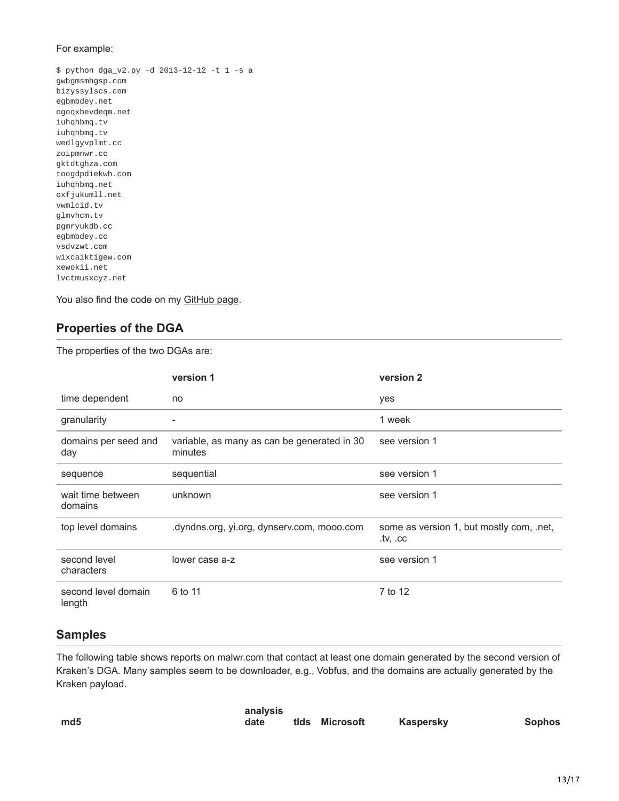#### For example:

\$ python dga\_v2.py -d 2013-12-12 -t 1 -s a gwbgmsmhgsp.com bizyssylscs.com egbmbdey.net ogoqxbevdeqm.net iuhqhbmq.tv iuhqhbmq.tv wedlgyvplmt.cc zoipmnwr.cc gktdtghza.com toogdpdiekwh.com iuhqhbmq.net oxfjukumll.net vwmlcid.tv glmvhcm.tv pgmryukdb.cc egbmbdey.cc vsdvzwt.com wixcaiktigew.com xewokii.net lvctmusxcyz.net

You also find the code on my [GitHub page](https://web.archive.org/web/20160324035554/https://github.com/baderj/domain_generation_algorithms/tree/master/kraken).

## **Properties of the DGA**

The properties of the two DGAs are:

|                               | version 1                                              | version 2                                            |
|-------------------------------|--------------------------------------------------------|------------------------------------------------------|
| time dependent                | no.                                                    | yes                                                  |
| granularity                   |                                                        | 1 week                                               |
| domains per seed and<br>day   | variable, as many as can be generated in 30<br>minutes | see version 1                                        |
| sequence                      | sequential                                             | see version 1                                        |
| wait time between<br>domains  | unknown                                                | see version 1                                        |
| top level domains             | .dyndns.org, yi.org, dynserv.com, mooo.com             | some as version 1, but mostly com, .net,<br>.tv. .cc |
| second level<br>characters    | lower case a-z                                         | see version 1                                        |
| second level domain<br>length | 6 to 11                                                | 7 to 12                                              |

#### **Samples**

The following table shows reports on malwr.com that contact at least one domain generated by the second version of Kraken's DGA. Many samples seem to be downloader, e.g., Vobfus, and the domains are actually generated by the Kraken payload.

|     | analysis |                |           |               |
|-----|----------|----------------|-----------|---------------|
| md5 | date     | tids Microsoft | Kaspersky | <b>Sophos</b> |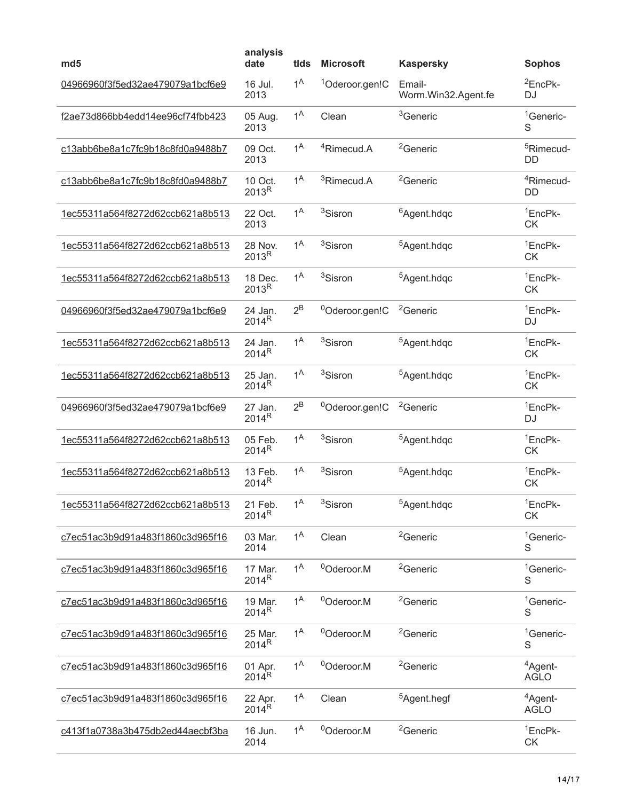| md <sub>5</sub>                         | analysis<br>date             | tids             | <b>Microsoft</b>           | <b>Kaspersky</b>              | <b>Sophos</b>                      |
|-----------------------------------------|------------------------------|------------------|----------------------------|-------------------------------|------------------------------------|
| 04966960f3f5ed32ae479079a1bcf6e9        | 16 Jul.<br>2013              | 1 <sup>A</sup>   | <sup>1</sup> Oderoor.gen!C | Email-<br>Worm.Win32.Agent.fe | <sup>2</sup> EncPk-<br>DJ          |
| f2ae73d866bb4edd14ee96cf74fbb423        | 05 Aug.<br>2013              | 1 <sup>A</sup>   | Clean                      | <sup>3</sup> Generic          | <sup>1</sup> Generic-<br>S         |
| c13abb6be8a1c7fc9b18c8fd0a9488b7        | 09 Oct.<br>2013              | 1 <sup>A</sup>   | <sup>4</sup> Rimecud.A     | <sup>2</sup> Generic          | <sup>5</sup> Rimecud-<br><b>DD</b> |
| c13abb6be8a1c7fc9b18c8fd0a9488b7        | 10 Oct.<br>2013 <sup>R</sup> | 1 <sup>A</sup>   | <sup>3</sup> Rimecud.A     | <sup>2</sup> Generic          | <sup>4</sup> Rimecud-<br>DD        |
| 1ec55311a564f8272d62ccb621a8b513        | 22 Oct.<br>2013              | 1 <sup>A</sup>   | <sup>3</sup> Sisron        | <sup>6</sup> Agent.hdqc       | <sup>1</sup> EncPk-<br><b>CK</b>   |
| 1ec55311a564f8272d62ccb621a8b513        | 28 Nov.<br>2013 <sup>R</sup> | 1 <sup>A</sup>   | <sup>3</sup> Sisron        | <sup>5</sup> Agent.hdqc       | <sup>1</sup> EncPk-<br><b>CK</b>   |
| 1ec55311a564f8272d62ccb621a8b513        | 18 Dec.<br>2013 <sup>R</sup> | 1 <sup>A</sup>   | <sup>3</sup> Sisron        | <sup>5</sup> Agent.hdqc       | <sup>1</sup> EncPk-<br><b>CK</b>   |
| 04966960f3f5ed32ae479079a1bcf6e9        | 24 Jan.<br>2014 <sup>R</sup> | $2^B$            | <sup>0</sup> Oderoor.gen!C | <sup>2</sup> Generic          | <sup>1</sup> EncPk-<br><b>DJ</b>   |
| 1ec55311a564f8272d62ccb621a8b513        | 24 Jan.<br>2014 <sup>R</sup> | 1 <sup>A</sup>   | <sup>3</sup> Sisron        | <sup>5</sup> Agent.hdqc       | <sup>1</sup> EncPk-<br><b>CK</b>   |
| 1ec55311a564f8272d62ccb621a8b513        | 25 Jan.<br>2014 <sup>R</sup> | 1 <sup>A</sup>   | <sup>3</sup> Sisron        | <sup>5</sup> Agent.hdqc       | <sup>1</sup> EncPk-<br><b>CK</b>   |
| 04966960f3f5ed32ae479079a1bcf6e9        | 27 Jan.<br>2014 <sup>R</sup> | $2^B$            | <sup>0</sup> Oderoor.gen!C | <sup>2</sup> Generic          | <sup>1</sup> EncPk-<br><b>DJ</b>   |
| 1ec55311a564f8272d62ccb621a8b513        | 05 Feb.<br>2014 <sup>R</sup> | 1 <sup>A</sup>   | <sup>3</sup> Sisron        | <sup>5</sup> Agent.hdqc       | <sup>1</sup> EncPk-<br><b>CK</b>   |
| 1ec55311a564f8272d62ccb621a8b513        | 13 Feb.<br>2014 <sup>R</sup> | 1 <sup>A</sup>   | <sup>3</sup> Sisron        | <sup>5</sup> Agent.hdqc       | <sup>1</sup> EncPk-<br><b>CK</b>   |
| <u>1ec55311a564f8272d62ccb621a8b513</u> | 21 Feb.<br>2014 <sup>R</sup> | 1 <sup>A</sup>   | <sup>3</sup> Sisron        | $5$ Agent.hdqc                | $1$ Enc $P$ k-<br><b>CK</b>        |
| c7ec51ac3b9d91a483f1860c3d965f16        | 03 Mar.<br>2014              | $1^A$            | Clean                      | <sup>2</sup> Generic          | <sup>1</sup> Generic-<br>S         |
| c7ec51ac3b9d91a483f1860c3d965f16        | 17 Mar.<br>2014 <sup>R</sup> | $1^{\mathsf{A}}$ | <sup>0</sup> Oderoor.M     | <sup>2</sup> Generic          | <sup>1</sup> Generic-<br>S         |
| c7ec51ac3b9d91a483f1860c3d965f16        | 19 Mar.<br>2014 <sup>R</sup> | 1 <sup>A</sup>   | <sup>0</sup> Oderoor.M     | <sup>2</sup> Generic          | <sup>1</sup> Generic-<br>S         |
| c7ec51ac3b9d91a483f1860c3d965f16        | 25 Mar.<br>2014 <sup>R</sup> | 1 <sup>A</sup>   | <sup>0</sup> Oderoor.M     | <sup>2</sup> Generic          | <sup>1</sup> Generic-<br>S         |
| c7ec51ac3b9d91a483f1860c3d965f16        | 01 Apr.<br>$2014^R$          | 1 <sup>A</sup>   | <sup>0</sup> Oderoor.M     | <sup>2</sup> Generic          | <sup>4</sup> Agent-<br><b>AGLO</b> |
| c7ec51ac3b9d91a483f1860c3d965f16        | 22 Apr.<br>2014 <sup>R</sup> | 1 <sup>A</sup>   | Clean                      | <sup>5</sup> Agent.hegf       | <sup>4</sup> Agent-<br><b>AGLO</b> |
| c413f1a0738a3b475db2ed44aecbf3ba        | 16 Jun.<br>2014              | $1^A$            | <sup>0</sup> Oderoor.M     | <sup>2</sup> Generic          | <sup>1</sup> EncPk-<br>CK          |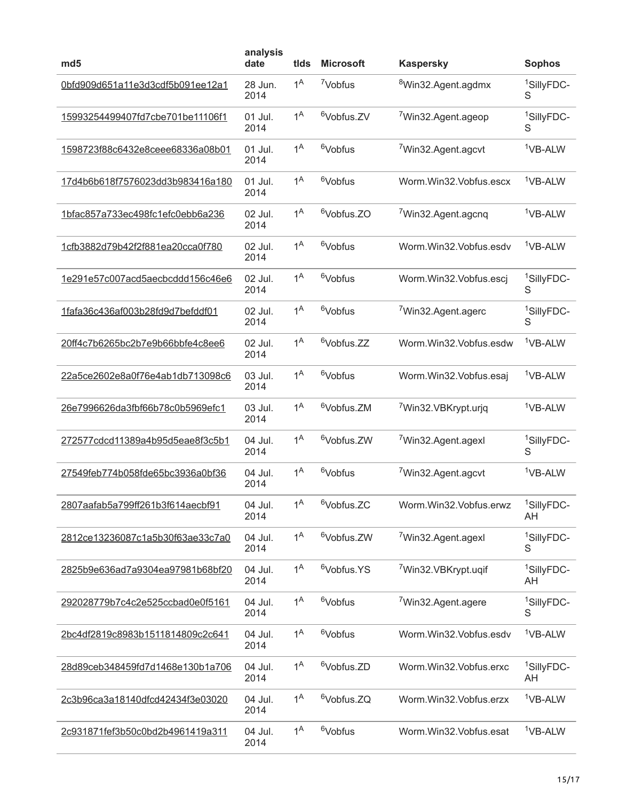| md <sub>5</sub>                  | analysis<br>date | tids             | <b>Microsoft</b>       | <b>Kaspersky</b>                | <b>Sophos</b>                |
|----------------------------------|------------------|------------------|------------------------|---------------------------------|------------------------------|
| 0bfd909d651a11e3d3cdf5b091ee12a1 | 28 Jun.<br>2014  | 1 <sup>A</sup>   | <sup>7</sup> Vobfus    | <sup>8</sup> Win32.Agent.agdmx  | <sup>1</sup> SillyFDC-<br>S  |
| 15993254499407fd7cbe701be11106f1 | 01 Jul.<br>2014  | $1^{\mathsf{A}}$ | <sup>6</sup> Vobfus.ZV | <sup>7</sup> Win32.Agent.ageop  | <sup>1</sup> SillyFDC-<br>S  |
| 1598723f88c6432e8ceee68336a08b01 | 01 Jul.<br>2014  | 1 <sup>A</sup>   | <sup>6</sup> Vobfus    | <sup>7</sup> Win32.Agent.agcvt  | <sup>1</sup> VB-ALW          |
| 17d4b6b618f7576023dd3b983416a180 | 01 Jul.<br>2014  | 1 <sup>A</sup>   | <sup>6</sup> Vobfus    | Worm.Win32.Vobfus.escx          | <sup>1</sup> VB-ALW          |
| 1bfac857a733ec498fc1efc0ebb6a236 | 02 Jul.<br>2014  | 1 <sup>A</sup>   | <sup>6</sup> Vobfus.ZO | <sup>7</sup> Win32.Agent.agcnq  | <sup>1</sup> VB-ALW          |
| 1cfb3882d79b42f2f881ea20cca0f780 | 02 Jul.<br>2014  | $1^{\mathsf{A}}$ | <sup>6</sup> Vobfus    | Worm.Win32.Vobfus.esdv          | <sup>1</sup> VB-ALW          |
| 1e291e57c007acd5aecbcddd156c46e6 | 02 Jul.<br>2014  | 1 <sup>A</sup>   | <sup>6</sup> Vobfus    | Worm.Win32.Vobfus.escj          | <sup>1</sup> SillyFDC-<br>S  |
| 1fafa36c436af003b28fd9d7befddf01 | 02 Jul.<br>2014  | 1 <sup>A</sup>   | <sup>6</sup> Vobfus    | <sup>7</sup> Win32.Agent.agerc  | <sup>1</sup> SillyFDC-<br>S  |
| 20ff4c7b6265bc2b7e9b66bbfe4c8ee6 | 02 Jul.<br>2014  | $1^{\mathsf{A}}$ | <sup>6</sup> Vobfus.ZZ | Worm.Win32.Vobfus.esdw          | <sup>1</sup> VB-ALW          |
| 22a5ce2602e8a0f76e4ab1db713098c6 | 03 Jul.<br>2014  | 1 <sup>A</sup>   | <sup>6</sup> Vobfus    | Worm.Win32.Vobfus.esaj          | <sup>1</sup> VB-ALW          |
| 26e7996626da3fbf66b78c0b5969efc1 | 03 Jul.<br>2014  | 1 <sup>A</sup>   | <sup>6</sup> Vobfus.ZM | <sup>7</sup> Win32.VBKrypt.urjq | <sup>1</sup> VB-ALW          |
| 272577cdcd11389a4b95d5eae8f3c5b1 | 04 Jul.<br>2014  | 1 <sup>A</sup>   | <sup>6</sup> Vobfus.ZW | <sup>7</sup> Win32.Agent.agexl  | <sup>1</sup> SillyFDC-<br>S  |
| 27549feb774b058fde65bc3936a0bf36 | 04 Jul.<br>2014  | 1 <sup>A</sup>   | <sup>6</sup> Vobfus    | <sup>7</sup> Win32.Agent.agcvt  | <sup>1</sup> VB-ALW          |
| 2807aafab5a799ff261b3f614aecbf91 | 04 Jul.<br>2014  | 1 <sup>A</sup>   | <sup>6</sup> Vobfus.ZC | Worm.Win32.Vobfus.erwz          | <sup>1</sup> SillyFDC-<br>AH |
| 2812ce13236087c1a5b30f63ae33c7a0 | 04 Jul.<br>2014  | 1 <sup>A</sup>   | <sup>6</sup> Vobfus.ZW | <sup>7</sup> Win32.Agent.agexl  | <sup>1</sup> SillyFDC-<br>S  |
| 2825b9e636ad7a9304ea97981b68bf20 | 04 Jul.<br>2014  | 1 <sup>A</sup>   | <sup>6</sup> Vobfus.YS | <sup>7</sup> Win32.VBKrypt.uqif | <sup>1</sup> SillyFDC-<br>AΗ |
| 292028779b7c4c2e525ccbad0e0f5161 | 04 Jul.<br>2014  | $1^{\mathsf{A}}$ | <sup>6</sup> Vobfus    | <sup>7</sup> Win32.Agent.agere  | <sup>1</sup> SillyFDC-<br>S  |
| 2bc4df2819c8983b1511814809c2c641 | 04 Jul.<br>2014  | 1 <sup>A</sup>   | <sup>6</sup> Vobfus    | Worm.Win32.Vobfus.esdv          | <sup>1</sup> VB-ALW          |
| 28d89ceb348459fd7d1468e130b1a706 | 04 Jul.<br>2014  | 1 <sup>A</sup>   | <sup>6</sup> Vobfus.ZD | Worm.Win32.Vobfus.erxc          | <sup>1</sup> SillyFDC-<br>AH |
| 2c3b96ca3a18140dfcd42434f3e03020 | 04 Jul.<br>2014  | $1^{\mathsf{A}}$ | <sup>6</sup> Vobfus.ZQ | Worm.Win32.Vobfus.erzx          | <sup>1</sup> VB-ALW          |
| 2c931871fef3b50c0bd2b4961419a311 | 04 Jul.<br>2014  | $1^{\mathsf{A}}$ | <sup>6</sup> Vobfus    | Worm.Win32.Vobfus.esat          | <sup>1</sup> VB-ALW          |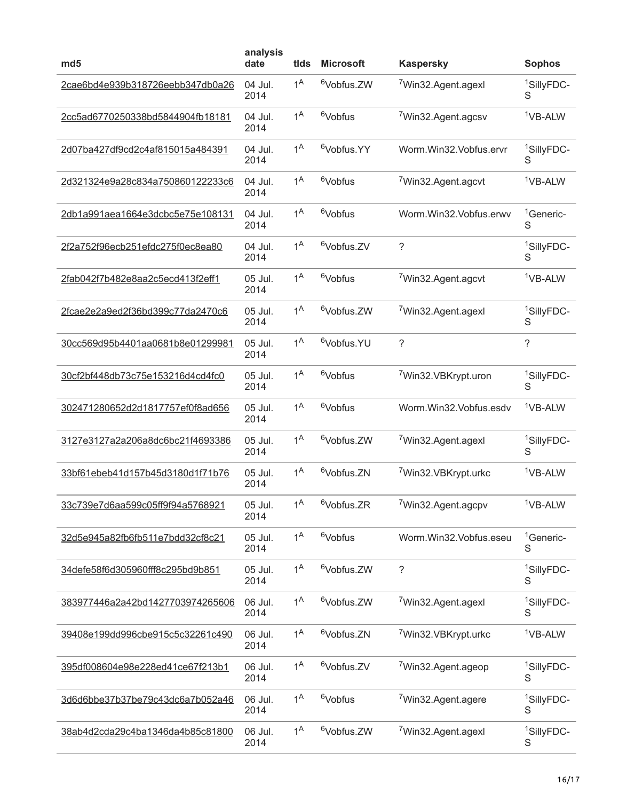| md <sub>5</sub>                  | analysis<br>date | tids           | <b>Microsoft</b>       | <b>Kaspersky</b>                | <b>Sophos</b>               |
|----------------------------------|------------------|----------------|------------------------|---------------------------------|-----------------------------|
| 2cae6bd4e939b318726eebb347db0a26 | 04 Jul.<br>2014  | 1 <sup>A</sup> | <sup>6</sup> Vobfus.ZW | <sup>7</sup> Win32.Agent.agexl  | <sup>1</sup> SillyFDC-<br>S |
| 2cc5ad6770250338bd5844904fb18181 | 04 Jul.<br>2014  | 1 <sup>A</sup> | <sup>6</sup> Vobfus    | <sup>7</sup> Win32.Agent.agcsv  | <sup>1</sup> VB-ALW         |
| 2d07ba427df9cd2c4af815015a484391 | 04 Jul.<br>2014  | 1 <sup>A</sup> | <sup>6</sup> Vobfus.YY | Worm.Win32.Vobfus.ervr          | <sup>1</sup> SillyFDC-<br>S |
| 2d321324e9a28c834a750860122233c6 | 04 Jul.<br>2014  | 1 <sup>A</sup> | <sup>6</sup> Vobfus    | <sup>7</sup> Win32.Agent.agcvt  | <sup>1</sup> VB-ALW         |
| 2db1a991aea1664e3dcbc5e75e108131 | 04 Jul.<br>2014  | 1 <sup>A</sup> | <sup>6</sup> Vobfus    | Worm.Win32.Vobfus.erwv          | <sup>1</sup> Generic-<br>S  |
| 2f2a752f96ecb251efdc275f0ec8ea80 | 04 Jul.<br>2014  | 1 <sup>A</sup> | <sup>6</sup> Vobfus.ZV | ?                               | <sup>1</sup> SillyFDC-<br>S |
| 2fab042f7b482e8aa2c5ecd413f2eff1 | 05 Jul.<br>2014  | 1 <sup>A</sup> | <sup>6</sup> Vobfus    | <sup>7</sup> Win32.Agent.agcvt  | <sup>1</sup> VB-ALW         |
| 2fcae2e2a9ed2f36bd399c77da2470c6 | 05 Jul.<br>2014  | 1 <sup>A</sup> | <sup>6</sup> Vobfus.ZW | <sup>7</sup> Win32.Agent.agexl  | <sup>1</sup> SillyFDC-<br>S |
| 30cc569d95b4401aa0681b8e01299981 | 05 Jul.<br>2014  | 1 <sup>A</sup> | <sup>6</sup> Vobfus.YU | $\tilde{?}$                     | ?                           |
| 30cf2bf448db73c75e153216d4cd4fc0 | 05 Jul.<br>2014  | 1 <sup>A</sup> | <sup>6</sup> Vobfus    | <sup>7</sup> Win32.VBKrypt.uron | <sup>1</sup> SillyFDC-<br>S |
| 302471280652d2d1817757ef0f8ad656 | 05 Jul.<br>2014  | 1 <sup>A</sup> | <sup>6</sup> Vobfus    | Worm.Win32.Vobfus.esdv          | <sup>1</sup> VB-ALW         |
| 3127e3127a2a206a8dc6bc21f4693386 | 05 Jul.<br>2014  | 1 <sup>A</sup> | <sup>6</sup> Vobfus.ZW | <sup>7</sup> Win32.Agent.agexl  | <sup>1</sup> SillyFDC-<br>S |
| 33bf61ebeb41d157b45d3180d1f71b76 | 05 Jul.<br>2014  | 1 <sup>A</sup> | <sup>6</sup> Vobfus.ZN | <sup>7</sup> Win32.VBKrypt.urkc | <sup>1</sup> VB-ALW         |
| 33c739e7d6aa599c05ff9f94a5768921 | 05 Jul.<br>2014  | 1 <sup>A</sup> | <sup>6</sup> Vobfus.ZR | 7Win32.Agent.agcpv              | <sup>1</sup> VB-ALW         |
| 32d5e945a82fb6fb511e7bdd32cf8c21 | 05 Jul.<br>2014  | 1 <sup>A</sup> | <sup>6</sup> Vobfus    | Worm.Win32.Vobfus.eseu          | <sup>1</sup> Generic-<br>S  |
| 34defe58f6d305960fff8c295bd9b851 | 05 Jul.<br>2014  | $1^A$          | <sup>6</sup> Vobfus.ZW | $\tilde{?}$                     | <sup>1</sup> SillyFDC-<br>S |
| 383977446a2a42bd1427703974265606 | 06 Jul.<br>2014  | 1 <sup>A</sup> | <sup>6</sup> Vobfus.ZW | 7Win32.Agent.agexl              | <sup>1</sup> SillyFDC-<br>S |
| 39408e199dd996cbe915c5c32261c490 | 06 Jul.<br>2014  | 1 <sup>A</sup> | <sup>6</sup> Vobfus.ZN | <sup>7</sup> Win32.VBKrypt.urkc | <sup>1</sup> VB-ALW         |
| 395df008604e98e228ed41ce67f213b1 | 06 Jul.<br>2014  | $1^A$          | <sup>6</sup> Vobfus.ZV | <sup>7</sup> Win32.Agent.ageop  | <sup>1</sup> SillyFDC-<br>S |
| 3d6d6bbe37b37be79c43dc6a7b052a46 | 06 Jul.<br>2014  | 1 <sup>A</sup> | <sup>6</sup> Vobfus    | <sup>7</sup> Win32.Agent.agere  | <sup>1</sup> SillyFDC-<br>S |
| 38ab4d2cda29c4ba1346da4b85c81800 | 06 Jul.<br>2014  | 1 <sup>A</sup> | <sup>6</sup> Vobfus.ZW | <sup>7</sup> Win32.Agent.agexl  | <sup>1</sup> SillyFDC-<br>S |